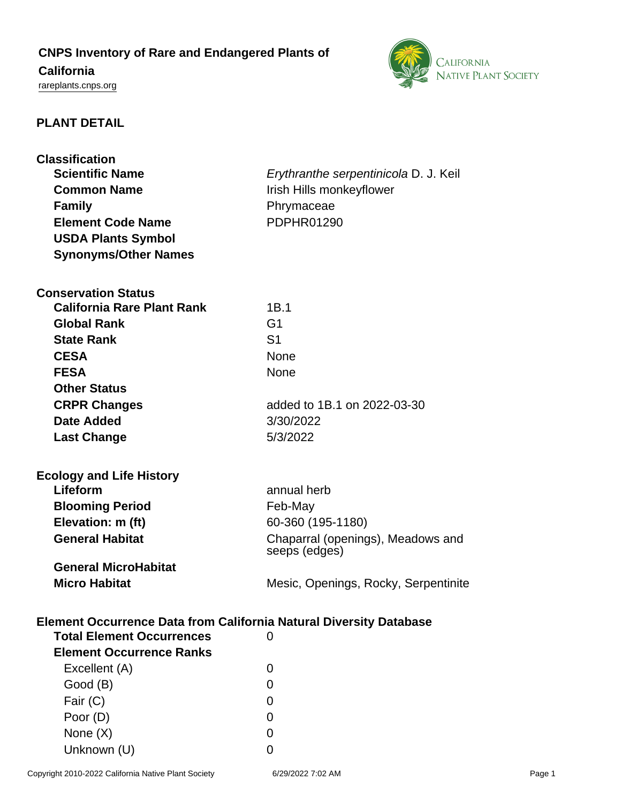# **CNPS Inventory of Rare and Endangered Plants of California**

<rareplants.cnps.org>



# **PLANT DETAIL**

| <b>Classification</b>                                                     |                                       |
|---------------------------------------------------------------------------|---------------------------------------|
| <b>Scientific Name</b>                                                    | Erythranthe serpentinicola D. J. Keil |
| <b>Common Name</b>                                                        | Irish Hills monkeyflower              |
| <b>Family</b>                                                             | Phrymaceae                            |
| <b>Element Code Name</b>                                                  | <b>PDPHR01290</b>                     |
| <b>USDA Plants Symbol</b>                                                 |                                       |
| <b>Synonyms/Other Names</b>                                               |                                       |
|                                                                           |                                       |
| <b>Conservation Status</b>                                                |                                       |
| <b>California Rare Plant Rank</b>                                         | 1B.1                                  |
| <b>Global Rank</b>                                                        | G <sub>1</sub>                        |
| <b>State Rank</b>                                                         | S <sub>1</sub>                        |
| <b>CESA</b>                                                               | <b>None</b>                           |
| <b>FESA</b>                                                               | None                                  |
| <b>Other Status</b>                                                       |                                       |
|                                                                           |                                       |
| <b>CRPR Changes</b>                                                       | added to 1B.1 on 2022-03-30           |
| Date Added                                                                | 3/30/2022                             |
| <b>Last Change</b>                                                        | 5/3/2022                              |
|                                                                           |                                       |
| <b>Ecology and Life History</b>                                           |                                       |
| Lifeform                                                                  | annual herb                           |
| <b>Blooming Period</b>                                                    | Feb-May                               |
| Elevation: m (ft)                                                         | 60-360 (195-1180)                     |
| <b>General Habitat</b>                                                    | Chaparral (openings), Meadows and     |
|                                                                           | seeps (edges)                         |
| <b>General MicroHabitat</b>                                               |                                       |
| <b>Micro Habitat</b>                                                      | Mesic, Openings, Rocky, Serpentinite  |
|                                                                           |                                       |
| <b>Element Occurrence Data from California Natural Diversity Database</b> |                                       |
| <b>Total Element Occurrences</b>                                          | 0                                     |
| <b>Element Occurrence Ranks</b>                                           |                                       |
| Excellent (A)                                                             | 0                                     |
| Good (B)                                                                  | 0                                     |
| Fair (C)                                                                  | 0                                     |
| Poor (D)                                                                  | $\Omega$                              |
| None (X)                                                                  | 0                                     |
| Unknown (U)                                                               | 0                                     |